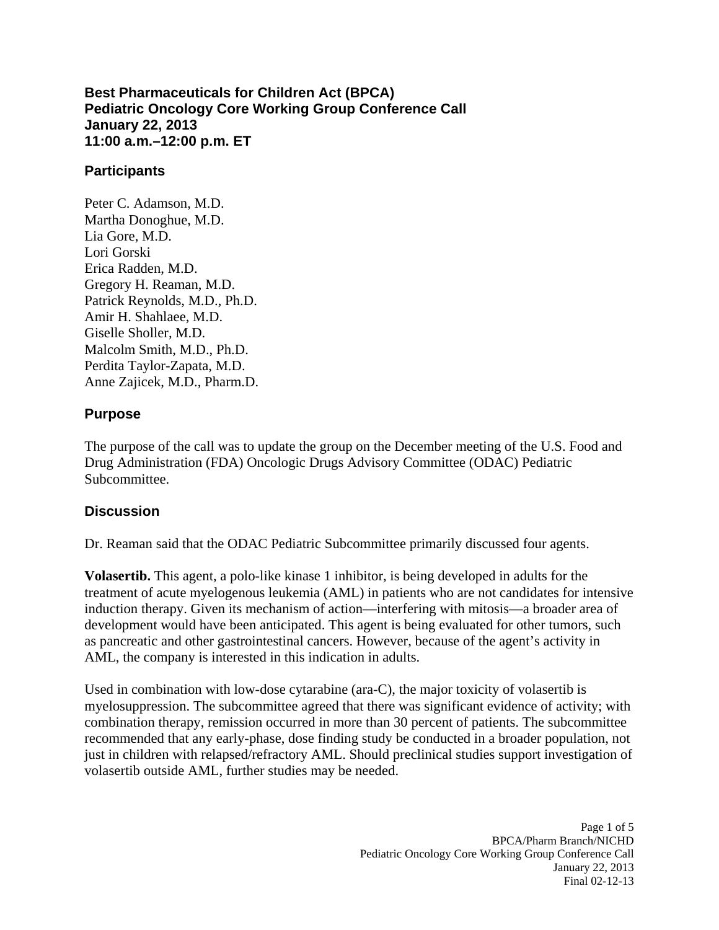**Best Pharmaceuticals for Children Act (BPCA) Pediatric Oncology Core Working Group Conference Call January 22, 2013 11:00 a.m.–12:00 p.m. ET** 

## **Participants**

Peter C. Adamson, M.D. Martha Donoghue, M.D. Lia Gore, M.D. Lori Gorski Erica Radden, M.D. Gregory H. Reaman, M.D. Patrick Reynolds, M.D., Ph.D. Amir H. Shahlaee, M.D. Giselle Sholler, M.D. Malcolm Smith, M.D., Ph.D. Perdita Taylor-Zapata, M.D. Anne Zajicek, M.D., Pharm.D.

## **Purpose**

The purpose of the call was to update the group on the December meeting of the U.S. Food and Drug Administration (FDA) Oncologic Drugs Advisory Committee (ODAC) Pediatric Subcommittee.

## **Discussion**

Dr. Reaman said that the ODAC Pediatric Subcommittee primarily discussed four agents.

AML, the company is interested in this indication in adults. **Volasertib.** This agent, a polo-like kinase 1 inhibitor, is being developed in adults for the treatment of acute myelogenous leukemia (AML) in patients who are not candidates for intensive induction therapy. Given its mechanism of action—interfering with mitosis—a broader area of development would have been anticipated. This agent is being evaluated for other tumors, such as pancreatic and other gastrointestinal cancers. However, because of the agent's activity in

Used in combination with low-dose cytarabine (ara-C), the major toxicity of volasertib is myelosuppression. The subcommittee agreed that there was significant evidence of activity; with combination therapy, remission occurred in more than 30 percent of patients. The subcommittee recommended that any early-phase, dose finding study be conducted in a broader population, not just in children with relapsed/refractory AML. Should preclinical studies support investigation of volasertib outside AML, further studies may be needed.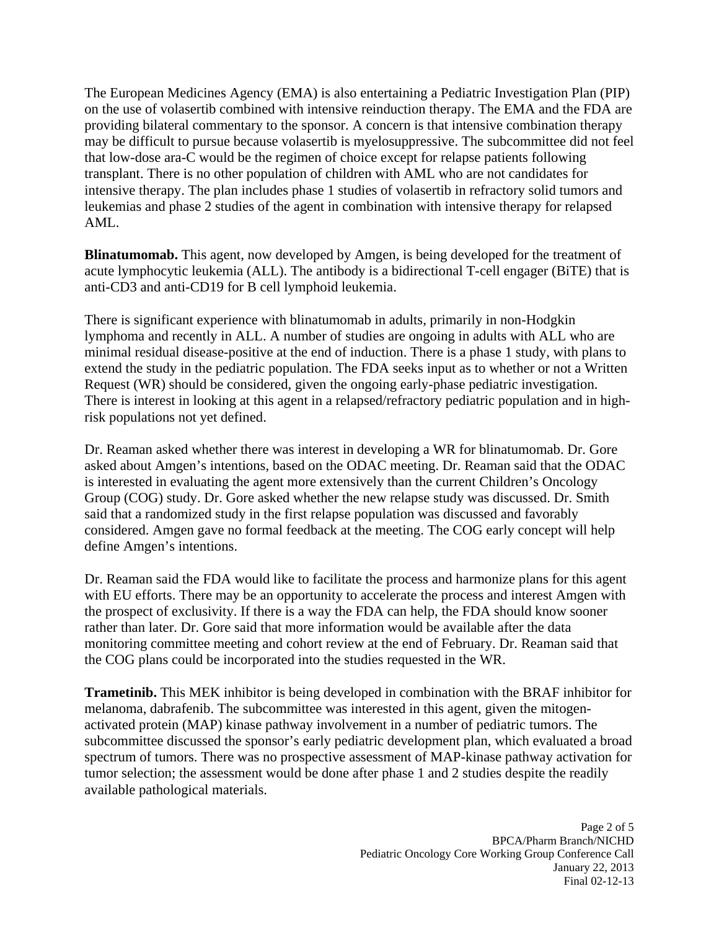The European Medicines Agency (EMA) is also entertaining a Pediatric Investigation Plan (PIP) on the use of volasertib combined with intensive reinduction therapy. The EMA and the FDA are providing bilateral commentary to the sponsor. A concern is that intensive combination therapy may be difficult to pursue because volasertib is myelosuppressive. The subcommittee did not feel that low-dose ara-C would be the regimen of choice except for relapse patients following transplant. There is no other population of children with AML who are not candidates for intensive therapy. The plan includes phase 1 studies of volasertib in refractory solid tumors and leukemias and phase 2 studies of the agent in combination with intensive therapy for relapsed AML.

**Blinatumomab.** This agent, now developed by Amgen, is being developed for the treatment of acute lymphocytic leukemia (ALL). The antibody is a bidirectional T-cell engager (BiTE) that is anti-CD3 and anti-CD19 for B cell lymphoid leukemia.

There is significant experience with blinatumomab in adults, primarily in non-Hodgkin lymphoma and recently in ALL. A number of studies are ongoing in adults with ALL who are minimal residual disease-positive at the end of induction. There is a phase 1 study, with plans to extend the study in the pediatric population. The FDA seeks input as to whether or not a Written Request (WR) should be considered, given the ongoing early-phase pediatric investigation. There is interest in looking at this agent in a relapsed/refractory pediatric population and in highrisk populations not yet defined.

Dr. Reaman asked whether there was interest in developing a WR for blinatumomab. Dr. Gore asked about Amgen's intentions, based on the ODAC meeting. Dr. Reaman said that the ODAC is interested in evaluating the agent more extensively than the current Children's Oncology Group (COG) study. Dr. Gore asked whether the new relapse study was discussed. Dr. Smith said that a randomized study in the first relapse population was discussed and favorably considered. Amgen gave no formal feedback at the meeting. The COG early concept will help define Amgen's intentions.

Dr. Reaman said the FDA would like to facilitate the process and harmonize plans for this agent with EU efforts. There may be an opportunity to accelerate the process and interest Amgen with the prospect of exclusivity. If there is a way the FDA can help, the FDA should know sooner rather than later. Dr. Gore said that more information would be available after the data monitoring committee meeting and cohort review at the end of February. Dr. Reaman said that the COG plans could be incorporated into the studies requested in the WR.

**Trametinib.** This MEK inhibitor is being developed in combination with the BRAF inhibitor for melanoma, dabrafenib. The subcommittee was interested in this agent, given the mitogenactivated protein (MAP) kinase pathway involvement in a number of pediatric tumors. The subcommittee discussed the sponsor's early pediatric development plan, which evaluated a broad spectrum of tumors. There was no prospective assessment of MAP-kinase pathway activation for tumor selection; the assessment would be done after phase 1 and 2 studies despite the readily available pathological materials.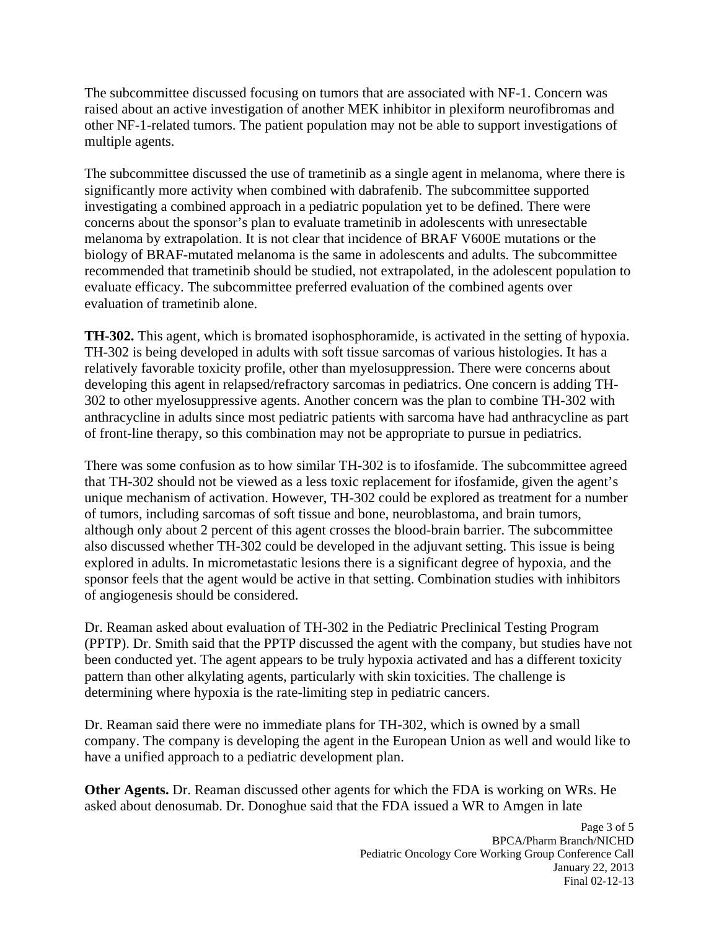The subcommittee discussed focusing on tumors that are associated with NF-1. Concern was raised about an active investigation of another MEK inhibitor in plexiform neurofibromas and other NF-1-related tumors. The patient population may not be able to support investigations of multiple agents.

The subcommittee discussed the use of trametinib as a single agent in melanoma, where there is significantly more activity when combined with dabrafenib. The subcommittee supported investigating a combined approach in a pediatric population yet to be defined. There were concerns about the sponsor's plan to evaluate trametinib in adolescents with unresectable melanoma by extrapolation. It is not clear that incidence of BRAF V600E mutations or the biology of BRAF-mutated melanoma is the same in adolescents and adults. The subcommittee recommended that trametinib should be studied, not extrapolated, in the adolescent population to evaluate efficacy. The subcommittee preferred evaluation of the combined agents over evaluation of trametinib alone.

**TH-302.** This agent, which is bromated isophosphoramide, is activated in the setting of hypoxia. TH-302 is being developed in adults with soft tissue sarcomas of various histologies. It has a relatively favorable toxicity profile, other than myelosuppression. There were concerns about developing this agent in relapsed/refractory sarcomas in pediatrics. One concern is adding TH-302 to other myelosuppressive agents. Another concern was the plan to combine TH-302 with anthracycline in adults since most pediatric patients with sarcoma have had anthracycline as part of front-line therapy, so this combination may not be appropriate to pursue in pediatrics.

There was some confusion as to how similar TH-302 is to ifosfamide. The subcommittee agreed that TH-302 should not be viewed as a less toxic replacement for ifosfamide, given the agent's unique mechanism of activation. However, TH-302 could be explored as treatment for a number of tumors, including sarcomas of soft tissue and bone, neuroblastoma, and brain tumors, although only about 2 percent of this agent crosses the blood-brain barrier. The subcommittee also discussed whether TH-302 could be developed in the adjuvant setting. This issue is being explored in adults. In micrometastatic lesions there is a significant degree of hypoxia, and the sponsor feels that the agent would be active in that setting. Combination studies with inhibitors of angiogenesis should be considered.

Dr. Reaman asked about evaluation of TH-302 in the Pediatric Preclinical Testing Program (PPTP). Dr. Smith said that the PPTP discussed the agent with the company, but studies have not been conducted yet. The agent appears to be truly hypoxia activated and has a different toxicity pattern than other alkylating agents, particularly with skin toxicities. The challenge is determining where hypoxia is the rate-limiting step in pediatric cancers.

Dr. Reaman said there were no immediate plans for TH-302, which is owned by a small company. The company is developing the agent in the European Union as well and would like to have a unified approach to a pediatric development plan.

**Other Agents.** Dr. Reaman discussed other agents for which the FDA is working on WRs. He asked about denosumab. Dr. Donoghue said that the FDA issued a WR to Amgen in late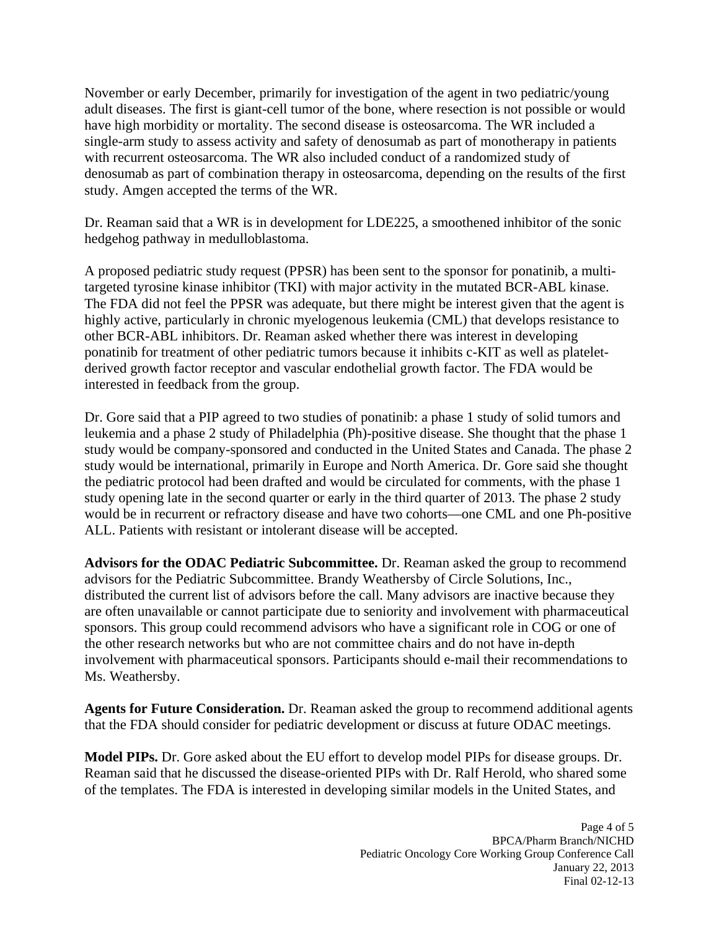November or early December, primarily for investigation of the agent in two pediatric/young adult diseases. The first is giant-cell tumor of the bone, where resection is not possible or would have high morbidity or mortality. The second disease is osteosarcoma. The WR included a single-arm study to assess activity and safety of denosumab as part of monotherapy in patients with recurrent osteosarcoma. The WR also included conduct of a randomized study of denosumab as part of combination therapy in osteosarcoma, depending on the results of the first study. Amgen accepted the terms of the WR.

Dr. Reaman said that a WR is in development for LDE225, a smoothened inhibitor of the sonic hedgehog pathway in medulloblastoma.

A proposed pediatric study request (PPSR) has been sent to the sponsor for ponatinib, a multitargeted tyrosine kinase inhibitor (TKI) with major activity in the mutated BCR-ABL kinase. The FDA did not feel the PPSR was adequate, but there might be interest given that the agent is highly active, particularly in chronic myelogenous leukemia (CML) that develops resistance to other BCR-ABL inhibitors. Dr. Reaman asked whether there was interest in developing ponatinib for treatment of other pediatric tumors because it inhibits c-KIT as well as plateletderived growth factor receptor and vascular endothelial growth factor. The FDA would be interested in feedback from the group.

Dr. Gore said that a PIP agreed to two studies of ponatinib: a phase 1 study of solid tumors and leukemia and a phase 2 study of Philadelphia (Ph)-positive disease. She thought that the phase 1 study would be company-sponsored and conducted in the United States and Canada. The phase 2 study would be international, primarily in Europe and North America. Dr. Gore said she thought the pediatric protocol had been drafted and would be circulated for comments, with the phase 1 study opening late in the second quarter or early in the third quarter of 2013. The phase 2 study would be in recurrent or refractory disease and have two cohorts—one CML and one Ph-positive ALL. Patients with resistant or intolerant disease will be accepted.

**Advisors for the ODAC Pediatric Subcommittee.** Dr. Reaman asked the group to recommend advisors for the Pediatric Subcommittee. Brandy Weathersby of Circle Solutions, Inc., distributed the current list of advisors before the call. Many advisors are inactive because they are often unavailable or cannot participate due to seniority and involvement with pharmaceutical sponsors. This group could recommend advisors who have a significant role in COG or one of the other research networks but who are not committee chairs and do not have in-depth involvement with pharmaceutical sponsors. Participants should e-mail their recommendations to Ms. Weathersby.

**Agents for Future Consideration.** Dr. Reaman asked the group to recommend additional agents that the FDA should consider for pediatric development or discuss at future ODAC meetings.

**Model PIPs.** Dr. Gore asked about the EU effort to develop model PIPs for disease groups. Dr. Reaman said that he discussed the disease-oriented PIPs with Dr. Ralf Herold, who shared some of the templates. The FDA is interested in developing similar models in the United States, and